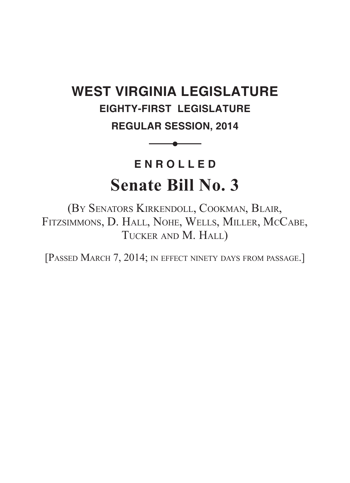## **WEST VIRGINIA LEGISLATURE EIGHTY-FIRST LEGISLATURE**

**REGULAR SESSION, 2014**

 $\bullet$  and the set of  $\bullet$ 

# **ENROLLED Senate Bill No. 3**

(By Senators Kirkendoll, Cookman, Blair, Fitzsimmons, D. Hall, Nohe, Wells, Miller, McCabe, TUCKER AND M. HALL)

[PASSED MARCH 7, 2014; IN EFFECT NINETY DAYS FROM PASSAGE.]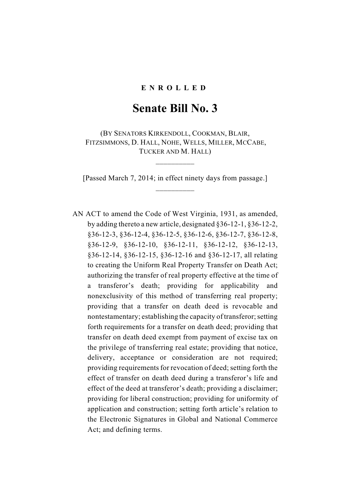#### **ENR OLLED**

## **Senate Bill No. 3**

(BY SENATORS KIRKENDOLL, COOKMAN, BLAIR, FITZSIMMONS, D. HALL, NOHE, WELLS, MILLER, MCCABE, TUCKER AND M. HALL)

[Passed March 7, 2014; in effect ninety days from passage.] \_\_\_\_\_\_\_\_\_\_

 $\frac{1}{2}$ 

AN ACT to amend the Code of West Virginia, 1931, as amended, by adding thereto a new article, designated §36-12-1, §36-12-2, §36-12-3, §36-12-4, §36-12-5, §36-12-6, §36-12-7, §36-12-8, §36-12-9, §36-12-10, §36-12-11, §36-12-12, §36-12-13, §36-12-14, §36-12-15, §36-12-16 and §36-12-17, all relating to creating the Uniform Real Property Transfer on Death Act; authorizing the transfer of real property effective at the time of a transferor's death; providing for applicability and nonexclusivity of this method of transferring real property; providing that a transfer on death deed is revocable and nontestamentary; establishing the capacity of transferor; setting forth requirements for a transfer on death deed; providing that transfer on death deed exempt from payment of excise tax on the privilege of transferring real estate; providing that notice, delivery, acceptance or consideration are not required; providing requirements for revocation of deed; setting forth the effect of transfer on death deed during a transferor's life and effect of the deed at transferor's death; providing a disclaimer; providing for liberal construction; providing for uniformity of application and construction; setting forth article's relation to the Electronic Signatures in Global and National Commerce Act; and defining terms.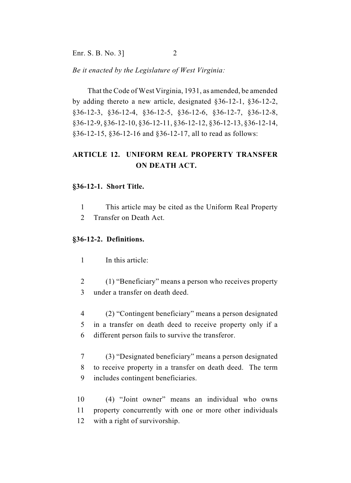Enr. S. B. No. 3] 2

*Be it enacted by the Legislature of West Virginia:*

That the Code of West Virginia, 1931, as amended, be amended by adding thereto a new article, designated §36-12-1, §36-12-2, §36-12-3, §36-12-4, §36-12-5, §36-12-6, §36-12-7, §36-12-8, §36-12-9, §36-12-10, §36-12-11, §36-12-12, §36-12-13, §36-12-14, §36-12-15, §36-12-16 and §36-12-17, all to read as follows:

## **ARTICLE 12. UNIFORM REAL PROPERTY TRANSFER ON DEATH ACT.**

#### **§36-12-1. Short Title.**

- 1 This article may be cited as the Uniform Real Property
- 2 Transfer on Death Act.

#### **§36-12-2. Definitions.**

1 In this article:

- 2 (1) "Beneficiary" means a person who receives property 3 under a transfer on death deed.
- 4 (2) "Contingent beneficiary" means a person designated 5 in a transfer on death deed to receive property only if a 6 different person fails to survive the transferor.
- 7 (3) "Designated beneficiary" means a person designated 8 to receive property in a transfer on death deed. The term 9 includes contingent beneficiaries.
- 10 (4) "Joint owner" means an individual who owns 11 property concurrently with one or more other individuals 12 with a right of survivorship.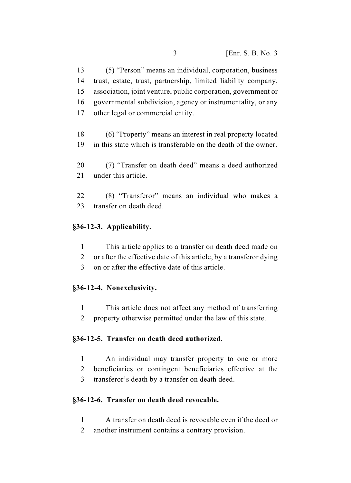(5) "Person" means an individual, corporation, business trust, estate, trust, partnership, limited liability company, association, joint venture, public corporation, government or governmental subdivision, agency or instrumentality, or any other legal or commercial entity.

 (6) "Property" means an interest in real property located in this state which is transferable on the death of the owner.

 (7) "Transfer on death deed" means a deed authorized 21 under this article

 (8) "Transferor" means an individual who makes a transfer on death deed.

## **§36-12-3. Applicability.**

- This article applies to a transfer on death deed made on
- or after the effective date of this article, by a transferor dying
- on or after the effective date of this article.

## **§36-12-4. Nonexclusivity.**

- This article does not affect any method of transferring
- property otherwise permitted under the law of this state.

## **§36-12-5. Transfer on death deed authorized.**

- An individual may transfer property to one or more
- beneficiaries or contingent beneficiaries effective at the
- transferor's death by a transfer on death deed.

## **§36-12-6. Transfer on death deed revocable.**

- A transfer on death deed is revocable even if the deed or
- another instrument contains a contrary provision.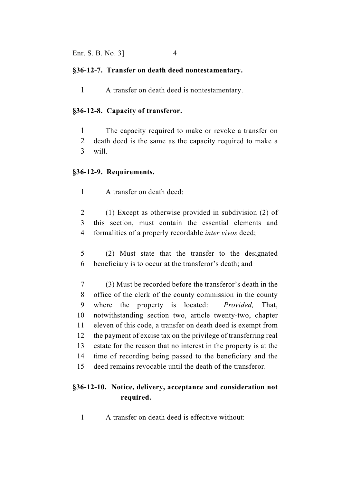#### **§36-12-7. Transfer on death deed nontestamentary.**

A transfer on death deed is nontestamentary.

#### **§36-12-8. Capacity of transferor.**

 The capacity required to make or revoke a transfer on death deed is the same as the capacity required to make a will.

#### **§36-12-9. Requirements.**

A transfer on death deed:

 (1) Except as otherwise provided in subdivision (2) of this section, must contain the essential elements and formalities of a properly recordable *inter vivos* deed;

- (2) Must state that the transfer to the designated beneficiary is to occur at the transferor's death; and
- (3) Must be recorded before the transferor's death in the office of the clerk of the county commission in the county where the property is located: *Provided,* That, notwithstanding section two, article twenty-two, chapter eleven of this code, a transfer on death deed is exempt from the payment of excise tax on the privilege of transferring real estate for the reason that no interest in the property is at the time of recording being passed to the beneficiary and the deed remains revocable until the death of the transferor.

## **§36-12-10. Notice, delivery, acceptance and consideration not required.**

A transfer on death deed is effective without: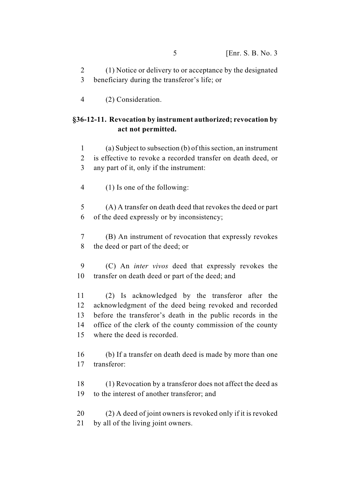(1) Notice or delivery to or acceptance by the designated beneficiary during the transferor's life; or

(2) Consideration.

## **§36-12-11. Revocation by instrument authorized; revocation by act not permitted.**

 (a) Subject to subsection (b) of this section, an instrument is effective to revoke a recorded transfer on death deed, or any part of it, only if the instrument:

(1) Is one of the following:

 (A) A transfer on death deed that revokes the deed or part of the deed expressly or by inconsistency;

 (B) An instrument of revocation that expressly revokes the deed or part of the deed; or

 (C) An *inter vivos* deed that expressly revokes the transfer on death deed or part of the deed; and

 (2) Is acknowledged by the transferor after the acknowledgment of the deed being revoked and recorded before the transferor's death in the public records in the office of the clerk of the county commission of the county where the deed is recorded.

 (b) If a transfer on death deed is made by more than one transferor:

 (1) Revocation by a transferor does not affect the deed as to the interest of another transferor; and

 (2) A deed of joint owners is revoked only if it is revoked by all of the living joint owners.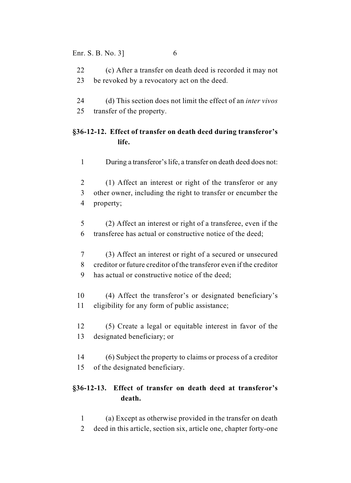#### Enr. S. B. No. 3] 6

- (c) After a transfer on death deed is recorded it may not be revoked by a revocatory act on the deed.
- (d) This section does not limit the effect of an *inter vivos* transfer of the property.

## **§36-12-12. Effect of transfer on death deed during transferor's life.**

- During a transferor's life, a transfer on death deed does not:
- (1) Affect an interest or right of the transferor or any other owner, including the right to transfer or encumber the property;
- (2) Affect an interest or right of a transferee, even if the transferee has actual or constructive notice of the deed;
- (3) Affect an interest or right of a secured or unsecured creditor or future creditor of the transferor even if the creditor has actual or constructive notice of the deed;
- (4) Affect the transferor's or designated beneficiary's eligibility for any form of public assistance;
- (5) Create a legal or equitable interest in favor of the designated beneficiary; or
- (6) Subject the property to claims or process of a creditor of the designated beneficiary.

## **§36-12-13. Effect of transfer on death deed at transferor's death.**

- (a) Except as otherwise provided in the transfer on death
- deed in this article, section six, article one, chapter forty-one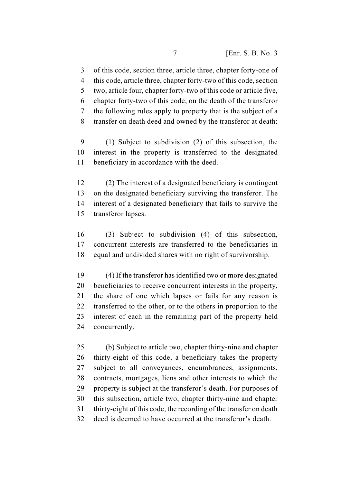of this code, section three, article three, chapter forty-one of this code, article three, chapter forty-two of this code, section two, article four, chapter forty-two of this code or article five, chapter forty-two of this code, on the death of the transferor the following rules apply to property that is the subject of a transfer on death deed and owned by the transferor at death:

 (1) Subject to subdivision (2) of this subsection, the interest in the property is transferred to the designated beneficiary in accordance with the deed.

 (2) The interest of a designated beneficiary is contingent on the designated beneficiary surviving the transferor. The interest of a designated beneficiary that fails to survive the transferor lapses.

 (3) Subject to subdivision (4) of this subsection, concurrent interests are transferred to the beneficiaries in equal and undivided shares with no right of survivorship.

 (4) If the transferor has identified two or more designated beneficiaries to receive concurrent interests in the property, the share of one which lapses or fails for any reason is 22 transferred to the other, or to the others in proportion to the interest of each in the remaining part of the property held concurrently.

 (b) Subject to article two, chapter thirty-nine and chapter thirty-eight of this code, a beneficiary takes the property subject to all conveyances, encumbrances, assignments, contracts, mortgages, liens and other interests to which the property is subject at the transferor's death. For purposes of this subsection, article two, chapter thirty-nine and chapter thirty-eight of this code, the recording of the transfer on death deed is deemed to have occurred at the transferor's death.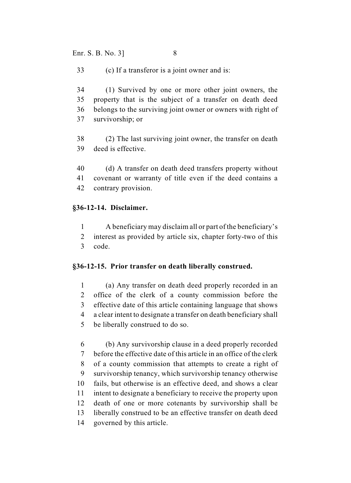Enr. S. B. No. 3] 8

(c) If a transferor is a joint owner and is:

 (1) Survived by one or more other joint owners, the property that is the subject of a transfer on death deed belongs to the surviving joint owner or owners with right of survivorship; or

- (2) The last surviving joint owner, the transfer on death deed is effective.
- (d) A transfer on death deed transfers property without covenant or warranty of title even if the deed contains a
- contrary provision.

## **§36-12-14. Disclaimer.**

- A beneficiary may disclaim all or part of the beneficiary's
- interest as provided by article six, chapter forty-two of this code.

## **§36-12-15. Prior transfer on death liberally construed.**

 (a) Any transfer on death deed properly recorded in an office of the clerk of a county commission before the effective date of this article containing language that shows a clear intent to designate a transfer on death beneficiary shall be liberally construed to do so.

 (b) Any survivorship clause in a deed properly recorded before the effective date of this article in an office of the clerk of a county commission that attempts to create a right of survivorship tenancy, which survivorship tenancy otherwise fails, but otherwise is an effective deed, and shows a clear intent to designate a beneficiary to receive the property upon death of one or more cotenants by survivorship shall be liberally construed to be an effective transfer on death deed governed by this article.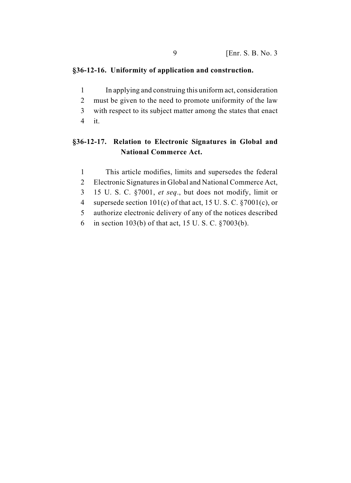#### **§36-12-16. Uniformity of application and construction.**

- In applying and construing this uniform act, consideration
- must be given to the need to promote uniformity of the law
- with respect to its subject matter among the states that enact
- it.

## **§36-12-17. Relation to Electronic Signatures in Global and National Commerce Act.**

- This article modifies, limits and supersedes the federal
- Electronic Signatures in Global and National Commerce Act,
- 15 U. S. C. §7001, *et seq*., but does not modify, limit or
- supersede section 101(c) of that act, 15 U. S. C. §7001(c), or
- authorize electronic delivery of any of the notices described
- in section 103(b) of that act, 15 U. S. C. §7003(b).